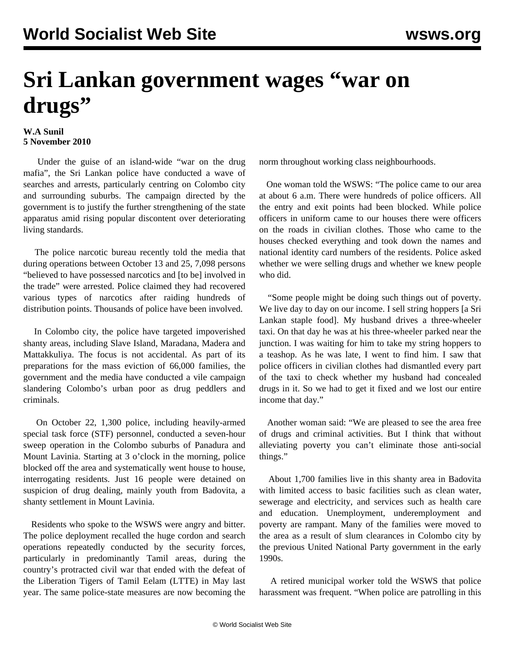## **Sri Lankan government wages "war on drugs"**

## **W.A Sunil 5 November 2010**

 Under the guise of an island-wide "war on the drug mafia", the Sri Lankan police have conducted a wave of searches and arrests, particularly centring on Colombo city and surrounding suburbs. The campaign directed by the government is to justify the further strengthening of the state apparatus amid rising popular discontent over deteriorating living standards.

 The police narcotic bureau recently told the media that during operations between October 13 and 25, 7,098 persons "believed to have possessed narcotics and [to be] involved in the trade" were arrested. Police claimed they had recovered various types of narcotics after raiding hundreds of distribution points. Thousands of police have been involved.

 In Colombo city, the police have targeted impoverished shanty areas, including Slave Island, Maradana, Madera and Mattakkuliya. The focus is not accidental. As part of its preparations for the mass eviction of 66,000 families, the government and the media have conducted a vile campaign slandering Colombo's urban poor as drug peddlers and criminals.

 On October 22, 1,300 police, including heavily-armed special task force (STF) personnel, conducted a seven-hour sweep operation in the Colombo suburbs of Panadura and Mount Lavinia. Starting at 3 o'clock in the morning, police blocked off the area and systematically went house to house, interrogating residents. Just 16 people were detained on suspicion of drug dealing, mainly youth from Badovita, a shanty settlement in Mount Lavinia.

 Residents who spoke to the WSWS were angry and bitter. The police deployment recalled the huge cordon and search operations repeatedly conducted by the security forces, particularly in predominantly Tamil areas, during the country's protracted civil war that ended with the defeat of the Liberation Tigers of Tamil Eelam (LTTE) in May last year. The same police-state measures are now becoming the

norm throughout working class neighbourhoods.

 One woman told the WSWS: "The police came to our area at about 6 a.m. There were hundreds of police officers. All the entry and exit points had been blocked. While police officers in uniform came to our houses there were officers on the roads in civilian clothes. Those who came to the houses checked everything and took down the names and national identity card numbers of the residents. Police asked whether we were selling drugs and whether we knew people who did.

 "Some people might be doing such things out of poverty. We live day to day on our income. I sell string hoppers [a Sri Lankan staple food]. My husband drives a three-wheeler taxi. On that day he was at his three-wheeler parked near the junction. I was waiting for him to take my string hoppers to a teashop. As he was late, I went to find him. I saw that police officers in civilian clothes had dismantled every part of the taxi to check whether my husband had concealed drugs in it. So we had to get it fixed and we lost our entire income that day."

 Another woman said: "We are pleased to see the area free of drugs and criminal activities. But I think that without alleviating poverty you can't eliminate those anti-social things."

 About 1,700 families live in this shanty area in Badovita with limited access to basic facilities such as clean water. sewerage and electricity, and services such as health care and education. Unemployment, underemployment and poverty are rampant. Many of the families were moved to the area as a result of slum clearances in Colombo city by the previous United National Party government in the early 1990s.

 A retired municipal worker told the WSWS that police harassment was frequent. "When police are patrolling in this